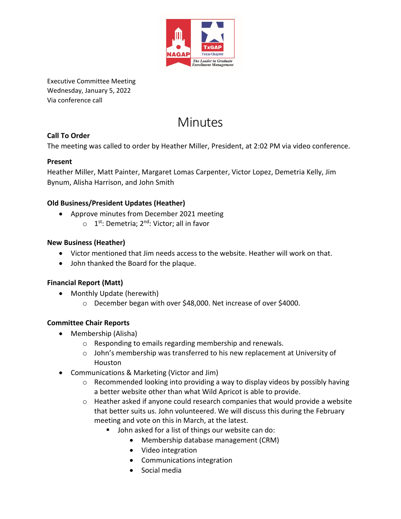

Executive Committee Meeting Wednesday, January 5, 2022 Via conference call

# Minutes

# **Call To Order**

The meeting was called to order by Heather Miller, President, at 2:02 PM via video conference.

#### **Present**

Heather Miller, Matt Painter, Margaret Lomas Carpenter, Victor Lopez, Demetria Kelly, Jim Bynum, Alisha Harrison, and John Smith

#### **Old Business/President Updates (Heather)**

- Approve minutes from December 2021 meeting
	- $\circ$  1<sup>st</sup>: Demetria; 2<sup>nd</sup>: Victor; all in favor

#### **New Business (Heather)**

- Victor mentioned that Jim needs access to the website. Heather will work on that.
- John thanked the Board for the plaque.

#### **Financial Report (Matt)**

- Monthly Update (herewith)
	- o December began with over \$48,000. Net increase of over \$4000.

# **Committee Chair Reports**

- Membership (Alisha)
	- o Responding to emails regarding membership and renewals.
	- o John's membership was transferred to his new replacement at University of Houston
- Communications & Marketing (Victor and Jim)
	- $\circ$  Recommended looking into providing a way to display videos by possibly having a better website other than what Wild Apricot is able to provide.
	- $\circ$  Heather asked if anyone could research companies that would provide a website that better suits us. John volunteered. We will discuss this during the February meeting and vote on this in March, at the latest.
		- John asked for a list of things our website can do:
			- Membership database management (CRM)
			- Video integration
			- Communications integration
			- Social media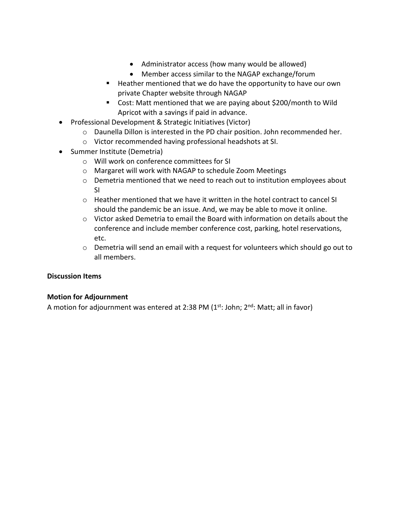- Administrator access (how many would be allowed)
- Member access similar to the NAGAP exchange/forum
- Heather mentioned that we do have the opportunity to have our own private Chapter website through NAGAP
- Cost: Matt mentioned that we are paying about \$200/month to Wild Apricot with a savings if paid in advance.
- Professional Development & Strategic Initiatives (Victor)
	- $\circ$  Daunella Dillon is interested in the PD chair position. John recommended her.
	- o Victor recommended having professional headshots at SI.
- Summer Institute (Demetria)
	- o Will work on conference committees for SI
	- o Margaret will work with NAGAP to schedule Zoom Meetings
	- o Demetria mentioned that we need to reach out to institution employees about SI
	- o Heather mentioned that we have it written in the hotel contract to cancel SI should the pandemic be an issue. And, we may be able to move it online.
	- $\circ$  Victor asked Demetria to email the Board with information on details about the conference and include member conference cost, parking, hotel reservations, etc.
	- $\circ$  Demetria will send an email with a request for volunteers which should go out to all members.

#### **Discussion Items**

#### **Motion for Adjournment**

A motion for adjournment was entered at 2:38 PM ( $1<sup>st</sup>$ : John;  $2<sup>nd</sup>$ : Matt; all in favor)